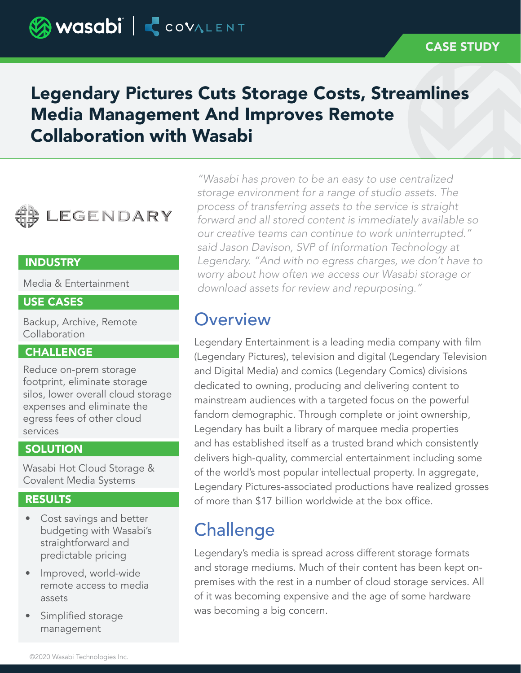# Legendary Pictures Cuts Storage Costs, Streamlines Media Management And Improves Remote Collaboration with Wasabi



## **INDUSTRY**

Media & Entertainment

### USE CASES

Backup, Archive, Remote Collaboration

## **CHALLENGE**

Reduce on-prem storage footprint, eliminate storage silos, lower overall cloud storage expenses and eliminate the egress fees of other cloud services

### **SOLUTION**

Wasabi Hot Cloud Storage & Covalent Media Systems

## RESULTS

- Cost savings and better budgeting with Wasabi's straightforward and predictable pricing
- Improved, world-wide remote access to media assets
- Simplified storage management

*"Wasabi has proven to be an easy to use centralized storage environment for a range of studio assets. The process of transferring assets to the service is straight forward and all stored content is immediately available so our creative teams can continue to work uninterrupted." said Jason Davison, SVP of Information Technology at Legendary. "And with no egress charges, we don't have to worry about how often we access our Wasabi storage or download assets for review and repurposing."*

## **Overview**

Legendary Entertainment is a leading media company with film (Legendary Pictures), television and digital (Legendary Television and Digital Media) and comics (Legendary Comics) divisions dedicated to owning, producing and delivering content to mainstream audiences with a targeted focus on the powerful fandom demographic. Through complete or joint ownership, Legendary has built a library of marquee media properties and has established itself as a trusted brand which consistently delivers high-quality, commercial entertainment including some of the world's most popular intellectual property. In aggregate, Legendary Pictures-associated productions have realized grosses of more than \$17 billion worldwide at the box office.

# **Challenge**

Legendary's media is spread across different storage formats and storage mediums. Much of their content has been kept onpremises with the rest in a number of cloud storage services. All of it was becoming expensive and the age of some hardware was becoming a big concern.